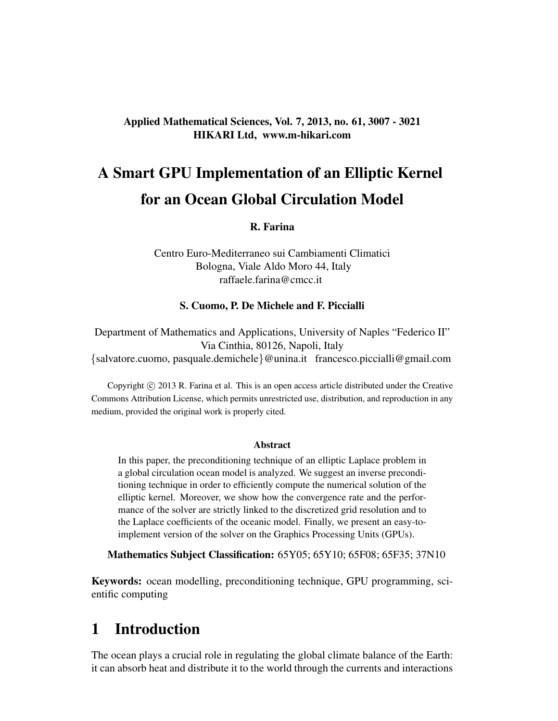#### Applied Mathematical Sciences, Vol. 7, 2013, no. 61, 3007 - 3021 HIKARI Ltd, www.m-hikari.com

# A Smart GPU Implementation of an Elliptic Kernel for an Ocean Global Circulation Model

#### R. Farina

Centro Euro-Mediterraneo sui Cambiamenti Climatici Bologna, Viale Aldo Moro 44, Italy raffaele.farina@cmcc.it

#### S. Cuomo, P. De Michele and F. Piccialli

Department of Mathematics and Applications, University of Naples "Federico II" Via Cinthia, 80126, Napoli, Italy {salvatore.cuomo, pasquale.demichele}@unina.it francesco.piccialli@gmail.com

Copyright © 2013 R. Farina et al. This is an open access article distributed under the Creative Commons Attribution License, which permits unrestricted use, distribution, and reproduction in any medium, provided the original work is properly cited.

#### Abstract

In this paper, the preconditioning technique of an elliptic Laplace problem in a global circulation ocean model is analyzed. We suggest an inverse preconditioning technique in order to efficiently compute the numerical solution of the elliptic kernel. Moreover, we show how the convergence rate and the performance of the solver are strictly linked to the discretized grid resolution and to the Laplace coefficients of the oceanic model. Finally, we present an easy-toimplement version of the solver on the Graphics Processing Units (GPUs).

Mathematics Subject Classification: 65Y05; 65Y10; 65F08; 65F35; 37N10

Keywords: ocean modelling, preconditioning technique, GPU programming, scientific computing

### 1 Introduction

The ocean plays a crucial role in regulating the global climate balance of the Earth: it can absorb heat and distribute it to the world through the currents and interactions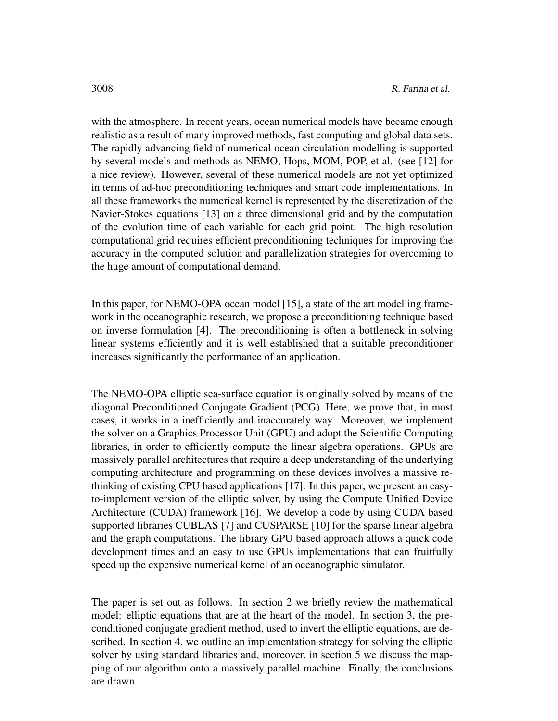with the atmosphere. In recent years, ocean numerical models have became enough realistic as a result of many improved methods, fast computing and global data sets. The rapidly advancing field of numerical ocean circulation modelling is supported by several models and methods as NEMO, Hops, MOM, POP, et al. (see [12] for a nice review). However, several of these numerical models are not yet optimized in terms of ad-hoc preconditioning techniques and smart code implementations. In all these frameworks the numerical kernel is represented by the discretization of the Navier-Stokes equations [13] on a three dimensional grid and by the computation of the evolution time of each variable for each grid point. The high resolution computational grid requires efficient preconditioning techniques for improving the accuracy in the computed solution and parallelization strategies for overcoming to the huge amount of computational demand.

In this paper, for NEMO-OPA ocean model [15], a state of the art modelling framework in the oceanographic research, we propose a preconditioning technique based on inverse formulation [4]. The preconditioning is often a bottleneck in solving linear systems efficiently and it is well established that a suitable preconditioner increases significantly the performance of an application.

The NEMO-OPA elliptic sea-surface equation is originally solved by means of the diagonal Preconditioned Conjugate Gradient (PCG). Here, we prove that, in most cases, it works in a inefficiently and inaccurately way. Moreover, we implement the solver on a Graphics Processor Unit (GPU) and adopt the Scientific Computing libraries, in order to efficiently compute the linear algebra operations. GPUs are massively parallel architectures that require a deep understanding of the underlying computing architecture and programming on these devices involves a massive rethinking of existing CPU based applications [17]. In this paper, we present an easyto-implement version of the elliptic solver, by using the Compute Unified Device Architecture (CUDA) framework [16]. We develop a code by using CUDA based supported libraries CUBLAS [7] and CUSPARSE [10] for the sparse linear algebra and the graph computations. The library GPU based approach allows a quick code development times and an easy to use GPUs implementations that can fruitfully speed up the expensive numerical kernel of an oceanographic simulator.

The paper is set out as follows. In section 2 we briefly review the mathematical model: elliptic equations that are at the heart of the model. In section 3, the preconditioned conjugate gradient method, used to invert the elliptic equations, are described. In section 4, we outline an implementation strategy for solving the elliptic solver by using standard libraries and, moreover, in section 5 we discuss the mapping of our algorithm onto a massively parallel machine. Finally, the conclusions are drawn.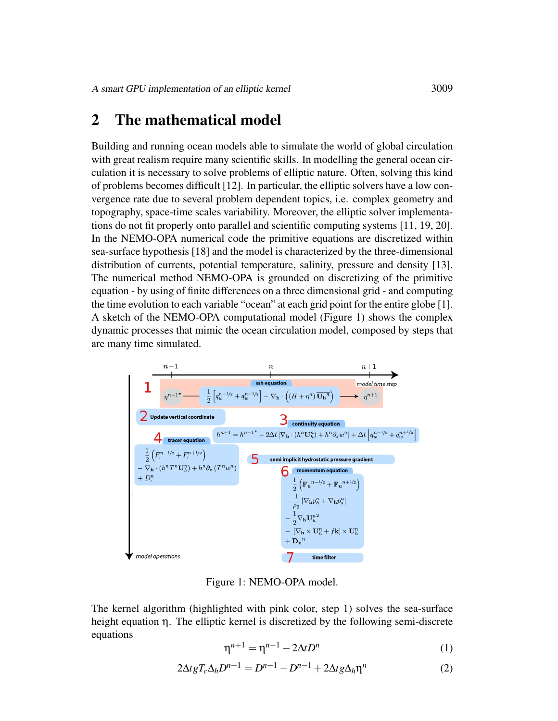### 2 The mathematical model

Building and running ocean models able to simulate the world of global circulation with great realism require many scientific skills. In modelling the general ocean circulation it is necessary to solve problems of elliptic nature. Often, solving this kind of problems becomes difficult [12]. In particular, the elliptic solvers have a low convergence rate due to several problem dependent topics, i.e. complex geometry and topography, space-time scales variability. Moreover, the elliptic solver implementations do not fit properly onto parallel and scientific computing systems [11, 19, 20]. In the NEMO-OPA numerical code the primitive equations are discretized within sea-surface hypothesis [18] and the model is characterized by the three-dimensional distribution of currents, potential temperature, salinity, pressure and density [13]. The numerical method NEMO-OPA is grounded on discretizing of the primitive equation - by using of finite differences on a three dimensional grid - and computing the time evolution to each variable "ocean" at each grid point for the entire globe [1]. A sketch of the NEMO-OPA computational model (Figure 1) shows the complex dynamic processes that mimic the ocean circulation model, composed by steps that are many time simulated.



Figure 1: NEMO-OPA model.

The kernel algorithm (highlighted with pink color, step 1) solves the sea-surface height equation η. The elliptic kernel is discretized by the following semi-discrete equations

$$
\eta^{n+1} = \eta^{n-1} - 2\Delta t D^n \tag{1}
$$

$$
2\Delta t g T_c \Delta_h D^{n+1} = D^{n+1} - D^{n-1} + 2\Delta t g \Delta_h \eta^n \tag{2}
$$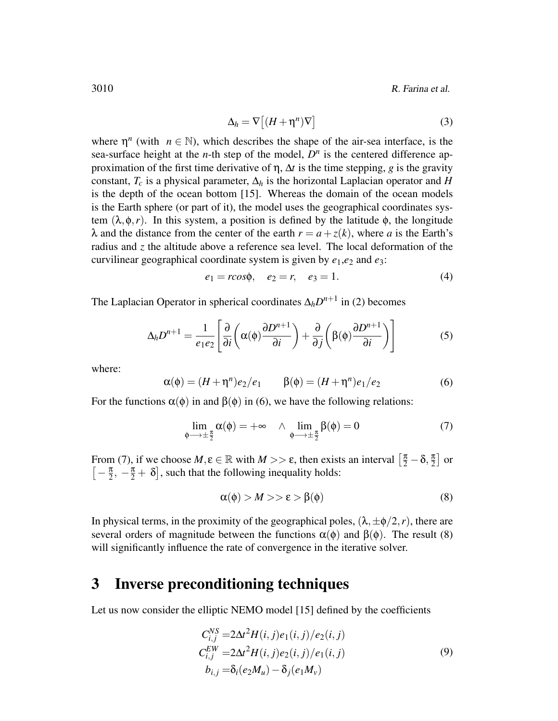3010 R. Farina et al.

$$
\Delta_h = \nabla \left[ (H + \eta^n) \nabla \right] \tag{3}
$$

where  $\eta^n$  (with  $n \in \mathbb{N}$ ), which describes the shape of the air-sea interface, is the sea-surface height at the *n*-th step of the model,  $D^n$  is the centered difference approximation of the first time derivative of η, ∆*t* is the time stepping, *g* is the gravity constant,  $T_c$  is a physical parameter,  $\Delta_h$  is the horizontal Laplacian operator and *H* is the depth of the ocean bottom [15]. Whereas the domain of the ocean models is the Earth sphere (or part of it), the model uses the geographical coordinates system  $(\lambda, \phi, r)$ . In this system, a position is defined by the latitude  $\phi$ , the longitude  $λ$  and the distance from the center of the earth  $r = a + z(k)$ , where *a* is the Earth's radius and *z* the altitude above a reference sea level. The local deformation of the curvilinear geographical coordinate system is given by *e*1,*e*<sup>2</sup> and *e*3:

$$
e_1 = r\cos\phi, \quad e_2 = r, \quad e_3 = 1.
$$
 (4)

The Laplacian Operator in spherical coordinates  $\Delta_h D^{n+1}$  in (2) becomes

$$
\Delta_h D^{n+1} = \frac{1}{e_1 e_2} \left[ \frac{\partial}{\partial i} \left( \alpha(\phi) \frac{\partial D^{n+1}}{\partial i} \right) + \frac{\partial}{\partial j} \left( \beta(\phi) \frac{\partial D^{n+1}}{\partial i} \right) \right]
$$
(5)

where:

$$
\alpha(\phi) = (H + \eta^{n})e_2/e_1 \qquad \beta(\phi) = (H + \eta^{n})e_1/e_2 \qquad (6)
$$

For the functions  $\alpha(\phi)$  in and  $\beta(\phi)$  in (6), we have the following relations:

$$
\lim_{\phi \to \pm \frac{\pi}{2}} \alpha(\phi) = +\infty \quad \wedge \quad \lim_{\phi \to \pm \frac{\pi}{2}} \beta(\phi) = 0 \tag{7}
$$

From (7), if we choose  $M, \varepsilon \in \mathbb{R}$  with  $M >> \varepsilon$ , then exists an interval  $\left[\frac{\pi}{2} - \delta, \frac{\pi}{2}\right]$  $\frac{\pi}{2}$  or  $\left[-\frac{\pi}{2}\right]$  $\frac{\pi}{2}$ ,  $-\frac{\pi}{2} + \delta$ , such that the following inequality holds:

$$
\alpha(\phi) > M >> \varepsilon > \beta(\phi) \tag{8}
$$

In physical terms, in the proximity of the geographical poles,  $(\lambda, \pm \phi/2, r)$ , there are several orders of magnitude between the functions  $\alpha(\phi)$  and  $\beta(\phi)$ . The result (8) will significantly influence the rate of convergence in the iterative solver.

## 3 Inverse preconditioning techniques

Let us now consider the elliptic NEMO model [15] defined by the coefficients

$$
C_{i,j}^{NS} = 2\Delta t^2 H(i,j)e_1(i,j)/e_2(i,j)
$$
  
\n
$$
C_{i,j}^{EW} = 2\Delta t^2 H(i,j)e_2(i,j)/e_1(i,j)
$$
  
\n
$$
b_{i,j} = \delta_i(e_2M_u) - \delta_j(e_1M_v)
$$
\n(9)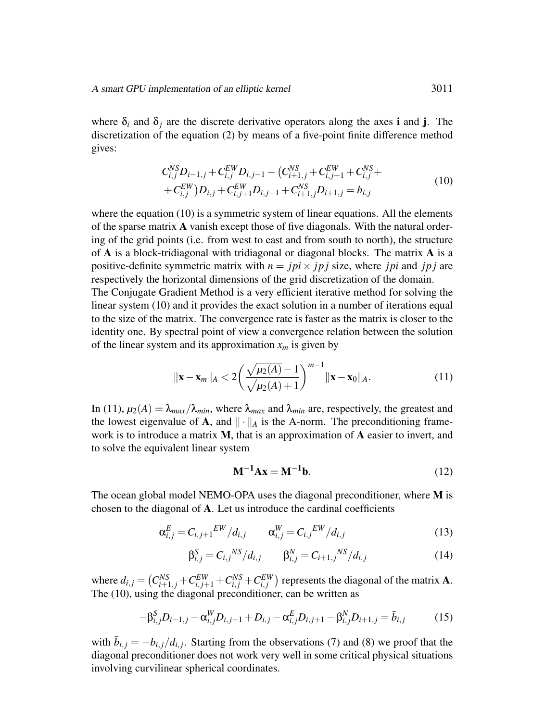where  $\delta_i$  and  $\delta_j$  are the discrete derivative operators along the axes **i** and **j**. The discretization of the equation (2) by means of a five-point finite difference method gives:

$$
C_{i,j}^{NS}D_{i-1,j} + C_{i,j}^{EW}D_{i,j-1} - (C_{i+1,j}^{NS} + C_{i,j+1}^{EW} + C_{i,j}^{NS} +
$$
  
+ 
$$
C_{i,j}^{EW}D_{i,j} + C_{i,j+1}^{EW}D_{i,j+1} + C_{i+1,j}^{NS}D_{i+1,j} = b_{i,j}
$$
 (10)

where the equation (10) is a symmetric system of linear equations. All the elements of the sparse matrix A vanish except those of five diagonals. With the natural ordering of the grid points (i.e. from west to east and from south to north), the structure of  $A$  is a block-tridiagonal with tridiagonal or diagonal blocks. The matrix  $A$  is a positive-definite symmetric matrix with  $n = jpi \times jpi$  is size, where *jpi* and *jpj* are respectively the horizontal dimensions of the grid discretization of the domain.

The Conjugate Gradient Method is a very efficient iterative method for solving the linear system (10) and it provides the exact solution in a number of iterations equal to the size of the matrix. The convergence rate is faster as the matrix is closer to the identity one. By spectral point of view a convergence relation between the solution of the linear system and its approximation  $x_m$  is given by

$$
\|\mathbf{x} - \mathbf{x}_{m}\|_{A} < 2\left(\frac{\sqrt{\mu_{2}(A)} - 1}{\sqrt{\mu_{2}(A)} + 1}\right)^{m-1} \|\mathbf{x} - \mathbf{x}_{0}\|_{A}.\tag{11}
$$

In (11),  $\mu_2(A) = \lambda_{max}/\lambda_{min}$ , where  $\lambda_{max}$  and  $\lambda_{min}$  are, respectively, the greatest and the lowest eigenvalue of A, and  $\|\cdot\|_A$  is the A-norm. The preconditioning framework is to introduce a matrix M, that is an approximation of A easier to invert, and to solve the equivalent linear system

$$
\mathbf{M}^{-1}\mathbf{A}\mathbf{x} = \mathbf{M}^{-1}\mathbf{b}.\tag{12}
$$

The ocean global model NEMO-OPA uses the diagonal preconditioner, where M is chosen to the diagonal of A. Let us introduce the cardinal coefficients

$$
\alpha_{i,j}^{E} = C_{i,j+1}^{EW} / d_{i,j} \qquad \alpha_{i,j}^{W} = C_{i,j}^{EW} / d_{i,j}
$$
 (13)

$$
\beta_{i,j}^{S} = C_{i,j}^{NS}/d_{i,j} \qquad \beta_{i,j}^{N} = C_{i+1,j}^{NS}/d_{i,j} \qquad (14)
$$

where  $d_{i,j} = (C_{i+1,j}^{NS} + C_{i,j+1}^{EW} + C_{i,j}^{NS} + C_{i,j}^{EW})$  represents the diagonal of the matrix **A**. The (10), using the diagonal preconditioner, can be written as

$$
-\beta_{i,j}^{S}D_{i-1,j} - \alpha_{i,j}^{W}D_{i,j-1} + D_{i,j} - \alpha_{i,j}^{E}D_{i,j+1} - \beta_{i,j}^{N}D_{i+1,j} = \bar{b}_{i,j}
$$
(15)

with  $\bar{b}_{i,j} = -b_{i,j}/d_{i,j}$ . Starting from the observations (7) and (8) we proof that the diagonal preconditioner does not work very well in some critical physical situations involving curvilinear spherical coordinates.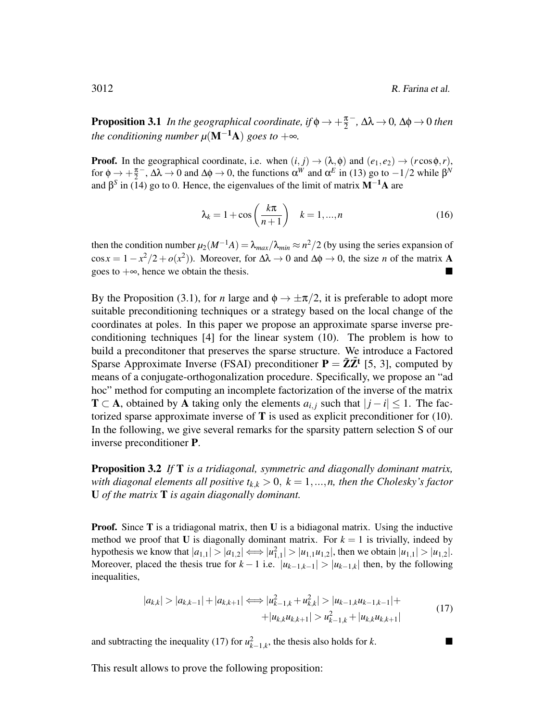**Proposition 3.1** *In the geographical coordinate, if*  $\phi \rightarrow +\frac{\pi}{2}$ 2 − *,* ∆λ → 0*,* ∆φ → 0 *then the conditioning number*  $\mu(\mathbf{M}^{-1}\mathbf{A})$  *goes to*  $+\infty$ *.* 

**Proof.** In the geographical coordinate, i.e. when  $(i, j) \rightarrow (\lambda, \phi)$  and  $(e_1, e_2) \rightarrow (r \cos \phi, r)$ , for  $\phi \rightarrow +\frac{\pi}{2}$  $\alpha^W$  and  $\alpha^E$  in (13) go to −1/2 while  $\beta^W$ and  $\beta^s$  in (14) go to 0. Hence, the eigenvalues of the limit of matrix  $M^{-1}A$  are

$$
\lambda_k = 1 + \cos\left(\frac{k\pi}{n+1}\right) \quad k = 1, ..., n \tag{16}
$$

then the condition number  $\mu_2(M^{-1}A) = \lambda_{max}/\lambda_{min} \approx n^2/2$  (by using the series expansion of cos  $x = 1 - x^2/2 + o(x^2)$ ). Moreover, for  $\Delta \lambda \to 0$  and  $\Delta \phi \to 0$ , the size *n* of the matrix **A** goes to  $+\infty$ , hence we obtain the thesis.

By the Proposition (3.1), for *n* large and  $\phi \rightarrow \pm \pi/2$ , it is preferable to adopt more suitable preconditioning techniques or a strategy based on the local change of the coordinates at poles. In this paper we propose an approximate sparse inverse preconditioning techniques [4] for the linear system (10). The problem is how to build a preconditoner that preserves the sparse structure. We introduce a Factored Sparse Approximate Inverse (FSAI) preconditioner  $P = \tilde{Z} \tilde{Z}^t$  [5, 3], computed by means of a conjugate-orthogonalization procedure. Specifically, we propose an "ad hoc" method for computing an incomplete factorization of the inverse of the matrix **T** ⊂ A, obtained by A taking only the elements  $a_{i,j}$  such that  $|j - i|$  ≤ 1. The factorized sparse approximate inverse of  $T$  is used as explicit preconditioner for (10). In the following, we give several remarks for the sparsity pattern selection S of our inverse preconditioner P.

Proposition 3.2 *If* T *is a tridiagonal, symmetric and diagonally dominant matrix, with diagonal elements all positive*  $t_{k,k} > 0$ ,  $k = 1,...,n$ , then the Cholesky's factor U *of the matrix* T *is again diagonally dominant.*

**Proof.** Since  $T$  is a tridiagonal matrix, then  $U$  is a bidiagonal matrix. Using the inductive method we proof that U is diagonally dominant matrix. For  $k = 1$  is trivially, indeed by hypothesis we know that  $|a_{1,1}| > |a_{1,2}| \iff |u_{1,1}^2| > |u_{1,1}u_{1,2}|$ , then we obtain  $|u_{1,1}| > |u_{1,2}|$ . Moreover, placed the thesis true for  $k - 1$  i.e.  $|u_{k-1,k-1}| > |u_{k-1,k}|$  then, by the following inequalities,

$$
|a_{k,k}| > |a_{k,k-1}| + |a_{k,k+1}| \Longleftrightarrow |u_{k-1,k}^2 + u_{k,k}^2| > |u_{k-1,k}u_{k-1,k-1}| +
$$
  
+|u\_{k,k}u\_{k,k+1}| > u\_{k-1,k}^2 + |u\_{k,k}u\_{k,k+1}| \t(17)

and subtracting the inequality (17) for  $u_{k-1,k}^2$ , the thesis also holds for *k*. ■

This result allows to prove the following proposition: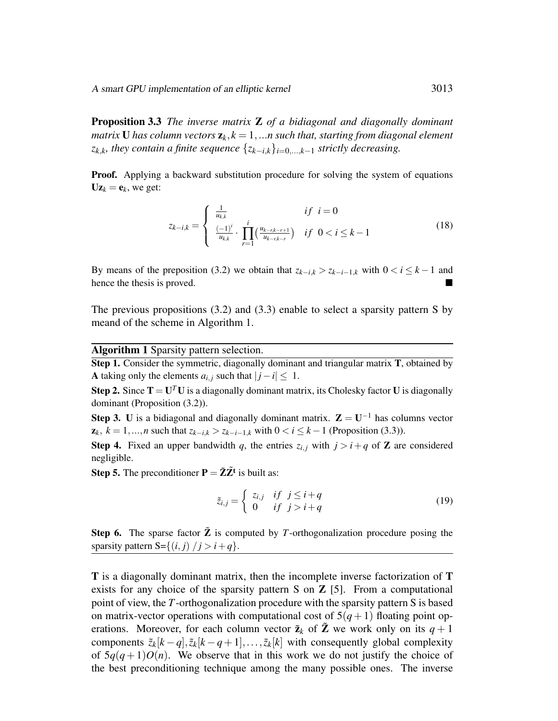A smart GPU implementation of an elliptic kernel 3013

Proposition 3.3 *The inverse matrix* Z *of a bidiagonal and diagonally dominant matrix* **U** has column vectors  $z_k$ ,  $k = 1,...n$  such that, starting from diagonal element  $z_{k,k}$ *, they contain a finite sequence*  $\{z_{k-i,k}\}_{i=0,\dots,k-1}$  *strictly decreasing.* 

Proof. Applying a backward substitution procedure for solving the system of equations  $Uz_k = e_k$ , we get:

$$
z_{k-i,k} = \begin{cases} \frac{1}{u_{k,k}} & \text{if } i = 0\\ \frac{(-1)^i}{u_{k,k}} \cdot \prod_{r=1}^i \left(\frac{u_{k-r,k-r+1}}{u_{k-r,k-r}}\right) & \text{if } 0 < i \leq k-1 \end{cases} \tag{18}
$$

By means of the preposition (3.2) we obtain that  $z_{k-i,k} > z_{k-i-1,k}$  with  $0 < i \leq k-1$  and hence the thesis is proved.

The previous propositions (3.2) and (3.3) enable to select a sparsity pattern S by meand of the scheme in Algorithm 1.

Algorithm 1 Sparsity pattern selection.

Step 1. Consider the symmetric, diagonally dominant and triangular matrix T, obtained by A taking only the elements  $a_{i,j}$  such that  $|j - i| \leq 1$ .

**Step 2.** Since  $T = U^T U$  is a diagonally dominant matrix, its Cholesky factor U is diagonally dominant (Proposition (3.2)).

**Step 3.** U is a bidiagonal and diagonally dominant matrix.  $\mathbf{Z} = \mathbf{U}^{-1}$  has columns vector  $z_k$ ,  $k = 1,...,n$  such that  $z_{k-i,k} > z_{k-i-1,k}$  with  $0 < i \leq k-1$  (Proposition (3.3)).

**Step 4.** Fixed an upper bandwidth q, the entries  $z_{i,j}$  with  $j > i + q$  of Z are considered negligible.

**Step 5.** The preconditioner  $P = \tilde{Z}\tilde{Z}^t$  is built as:

$$
\tilde{z}_{i,j} = \begin{cases} z_{i,j} & \text{if } j \leq i + q \\ 0 & \text{if } j > i + q \end{cases} \tag{19}
$$

Step 6. The sparse factor  $\tilde{Z}$  is computed by *T*-orthogonalization procedure posing the sparsity pattern S= $\{(i, j) / j > i + q\}.$ 

T is a diagonally dominant matrix, then the incomplete inverse factorization of T exists for any choice of the sparsity pattern S on  $Z$  [5]. From a computational point of view, the *T*-orthogonalization procedure with the sparsity pattern S is based on matrix-vector operations with computational cost of  $5(q+1)$  floating point operations. Moreover, for each column vector  $\tilde{\mathbf{z}}_k$  of  $\tilde{\mathbf{Z}}$  we work only on its  $q+1$ components  $\tilde{z}_k[k-q], \tilde{z}_k[k-q+1], \ldots, \tilde{z}_k[k]$  with consequently global complexity of  $5q(q+1)O(n)$ . We observe that in this work we do not justify the choice of the best preconditioning technique among the many possible ones. The inverse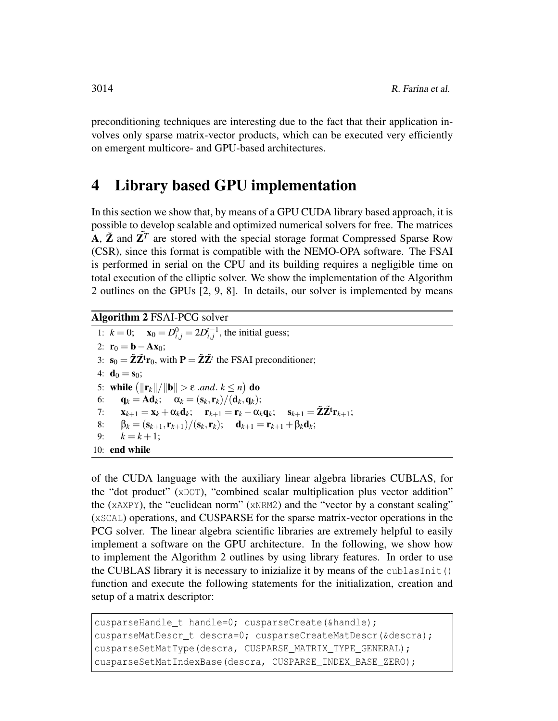preconditioning techniques are interesting due to the fact that their application involves only sparse matrix-vector products, which can be executed very efficiently on emergent multicore- and GPU-based architectures.

#### 4 Library based GPU implementation

In this section we show that, by means of a GPU CUDA library based approach, it is possible to develop scalable and optimized numerical solvers for free. The matrices A,  $\tilde{Z}$  and  $Z^T$  are stored with the special storage format Compressed Sparse Row (CSR), since this format is compatible with the NEMO-OPA software. The FSAI is performed in serial on the CPU and its building requires a negligible time on total execution of the elliptic solver. We show the implementation of the Algorithm 2 outlines on the GPUs [2, 9, 8]. In details, our solver is implemented by means

Algorithm 2 FSAI-PCG solver

1:  $k = 0$ ;  $\mathbf{x}_0 = D_{i,j}^0 = 2D_{i,j}^{t-1}$ , the initial guess; 2:  $r_0 = b - Ax_0;$ 3:  $\mathbf{s}_0 = \tilde{\mathbf{Z}} \tilde{\mathbf{Z}}^{\mathsf{t}} \mathbf{r}_0$ , with  $\mathbf{P} = \tilde{\mathbf{Z}} \tilde{\mathbf{Z}}^{\mathsf{t}}$  the FSAI preconditioner; 4:  $$ 5: while  $(||{\bf r}_k||/||{\bf b}|| > ε$  *.and*.  $k \le n)$  do 6:  $\mathbf{q}_k = \mathbf{A}\mathbf{d}_k; \quad \alpha_k = (\mathbf{s}_k, \mathbf{r}_k)/(\mathbf{d}_k, \mathbf{q}_k);$ 7:  $\mathbf{x}_{k+1} = \mathbf{x}_k + \alpha_k \mathbf{d}_k; \quad \mathbf{r}_{k+1} = \mathbf{r}_k - \alpha_k \mathbf{q}_k; \quad \mathbf{s}_{k+1} = \tilde{\mathbf{Z}} \tilde{\mathbf{Z}}^{\mathbf{t}} \mathbf{r}_{k+1};$ 8:  $\beta_k = (s_{k+1}, r_{k+1})/(s_k, r_k); \quad d_{k+1} = r_{k+1} + \beta_k d_k;$ 9:  $k = k + 1$ ; 10: end while

of the CUDA language with the auxiliary linear algebra libraries CUBLAS, for the "dot product" (xDOT), "combined scalar multiplication plus vector addition" the (xAXPY), the "euclidean norm" (xNRM2) and the "vector by a constant scaling" (xSCAL) operations, and CUSPARSE for the sparse matrix-vector operations in the PCG solver. The linear algebra scientific libraries are extremely helpful to easily implement a software on the GPU architecture. In the following, we show how to implement the Algorithm 2 outlines by using library features. In order to use the CUBLAS library it is necessary to inizialize it by means of the cublasInit() function and execute the following statements for the initialization, creation and setup of a matrix descriptor:

```
cusparseHandle t handle=0; cusparseCreate(&handle);
cusparseMatDescr_t descra=0; cusparseCreateMatDescr(&descra);
cusparseSetMatType(descra, CUSPARSE_MATRIX_TYPE_GENERAL);
cusparseSetMatIndexBase(descra, CUSPARSE INDEX BASE ZERO);
```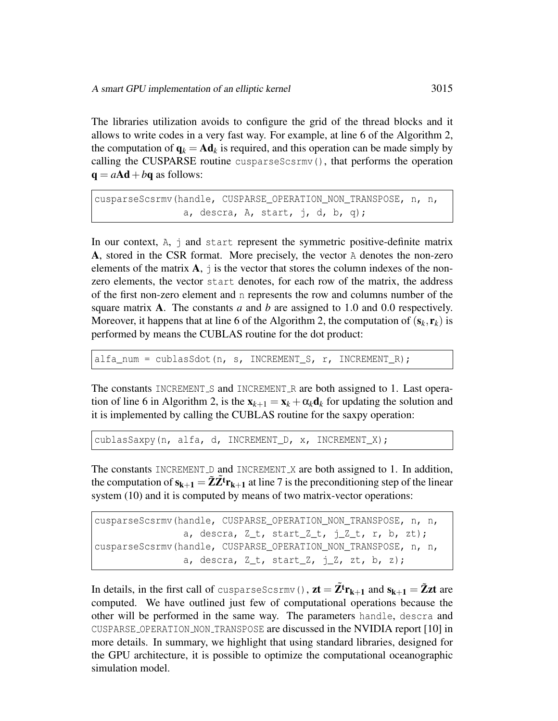The libraries utilization avoids to configure the grid of the thread blocks and it allows to write codes in a very fast way. For example, at line 6 of the Algorithm 2, the computation of  $q_k = Ad_k$  is required, and this operation can be made simply by calling the CUSPARSE routine cusparseScsrmv(), that performs the operation  $q = aA d + b q$  as follows:

```
cusparseScsrmv(handle, CUSPARSE_OPERATION_NON_TRANSPOSE, n, n,
                a, descra, A, start, j, d, b, q);
```
In our context, A, j and start represent the symmetric positive-definite matrix A, stored in the CSR format. More precisely, the vector A denotes the non-zero elements of the matrix  $A$ ,  $\dot{\theta}$  is the vector that stores the column indexes of the nonzero elements, the vector start denotes, for each row of the matrix, the address of the first non-zero element and n represents the row and columns number of the square matrix A. The constants *a* and *b* are assigned to 1.0 and 0.0 respectively. Moreover, it happens that at line 6 of the Algorithm 2, the computation of  $(s_k, r_k)$  is performed by means the CUBLAS routine for the dot product:

alfa\_num = cublasSdot(n, s, INCREMENT\_S, r, INCREMENT\_R);

The constants INCREMENT\_S and INCREMENT\_R are both assigned to 1. Last operation of line 6 in Algorithm 2, is the  $\mathbf{x}_{k+1} = \mathbf{x}_k + \alpha_k \mathbf{d}_k$  for updating the solution and it is implemented by calling the CUBLAS routine for the saxpy operation:

cublasSaxpy(n, alfa, d, INCREMENT\_D, x, INCREMENT\_X);

The constants INCREMENT D and INCREMENT X are both assigned to 1. In addition, the computation of  $s_{k+1} = \tilde{Z} \tilde{Z}^{\dagger} r_{k+1}$  at line 7 is the preconditioning step of the linear system (10) and it is computed by means of two matrix-vector operations:

```
cusparseScsrmv(handle, CUSPARSE_OPERATION_NON_TRANSPOSE, n, n,
                a, descra, Z_t, startZ_t, j_Z_t, r, b, zt);
cusparseScsrmv(handle, CUSPARSE OPERATION NON TRANSPOSE, n, n,
               a, descra, Z_t, startZ, j_Z, zt, b, z);
```
In details, in the first call of cusparseScsrmv(),  $zt = Z<sup>t</sup>r<sub>k+1</sub>$  and  $s<sub>k+1</sub> = \tilde{Z}zt$  are computed. We have outlined just few of computational operations because the other will be performed in the same way. The parameters handle, descra and CUSPARSE OPERATION NON TRANSPOSE are discussed in the NVIDIA report [10] in more details. In summary, we highlight that using standard libraries, designed for the GPU architecture, it is possible to optimize the computational oceanographic simulation model.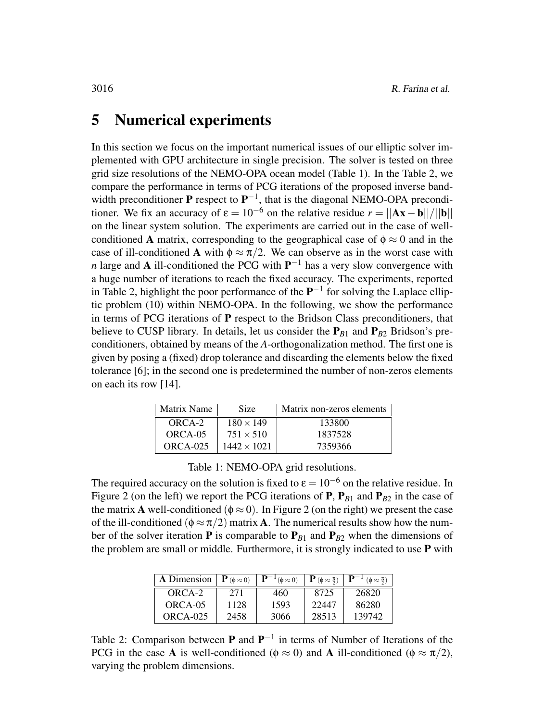#### 5 Numerical experiments

In this section we focus on the important numerical issues of our elliptic solver implemented with GPU architecture in single precision. The solver is tested on three grid size resolutions of the NEMO-OPA ocean model (Table 1). In the Table 2, we compare the performance in terms of PCG iterations of the proposed inverse bandwidth preconditioner **P** respect to  $\mathbf{P}^{-1}$ , that is the diagonal NEMO-OPA preconditioner. We fix an accuracy of  $\varepsilon = 10^{-6}$  on the relative residue  $r = ||Ax - b||/||b||$ on the linear system solution. The experiments are carried out in the case of wellconditioned A matrix, corresponding to the geographical case of  $\phi \approx 0$  and in the case of ill-conditioned A with  $\phi \approx \pi/2$ . We can observe as in the worst case with *n* large and **A** ill-conditioned the PCG with  $P^{-1}$  has a very slow convergence with a huge number of iterations to reach the fixed accuracy. The experiments, reported in Table 2, highlight the poor performance of the  $P^{-1}$  for solving the Laplace elliptic problem (10) within NEMO-OPA. In the following, we show the performance in terms of PCG iterations of P respect to the Bridson Class preconditioners, that believe to CUSP library. In details, let us consider the  $P_{B1}$  and  $P_{B2}$  Bridson's preconditioners, obtained by means of the *A*-orthogonalization method. The first one is given by posing a (fixed) drop tolerance and discarding the elements below the fixed tolerance [6]; in the second one is predetermined the number of non-zeros elements on each its row [14].

| Matrix Name | Size               | Matrix non-zeros elements |  |
|-------------|--------------------|---------------------------|--|
| ORCA-2      | $180 \times 149$   | 133800                    |  |
| ORCA-05     | $751 \times 510$   | 1837528                   |  |
| $ORCA-025$  | $1442 \times 1021$ | 7359366                   |  |

Table 1: NEMO-OPA grid resolutions.

The required accuracy on the solution is fixed to  $\varepsilon = 10^{-6}$  on the relative residue. In Figure 2 (on the left) we report the PCG iterations of **P**,  $P_{B1}$  and  $P_{B2}$  in the case of the matrix **A** well-conditioned ( $\phi \approx 0$ ). In Figure 2 (on the right) we present the case of the ill-conditioned ( $\phi \approx \pi/2$ ) matrix **A**. The numerical results show how the number of the solver iteration **P** is comparable to  $P_{B1}$  and  $P_{B2}$  when the dimensions of the problem are small or middle. Furthermore, it is strongly indicated to use  $P$  with

| <b>A</b> Dimension $\mathbf{P}(\phi \approx 0)$ |      | $\mathbf{P}^{-1}(\phi \approx 0)$ | ${\bf P}(\phi \approx \frac{\pi}{2})$ | $ \mathbf{P}^{-1}$ ( $\phi \approx \frac{\pi}{2}$ ) |
|-------------------------------------------------|------|-----------------------------------|---------------------------------------|-----------------------------------------------------|
| ORCA-2                                          | 271  | 460                               | 8725                                  | 26820                                               |
| ORCA-05                                         | 1128 | 1593                              | 22447                                 | 86280                                               |
| $ORCA-025$                                      | 2458 | 3066                              | 28513                                 | 139742                                              |

Table 2: Comparison between **P** and  $P^{-1}$  in terms of Number of Iterations of the PCG in the case A is well-conditioned ( $\phi \approx 0$ ) and A ill-conditioned ( $\phi \approx \pi/2$ ), varying the problem dimensions.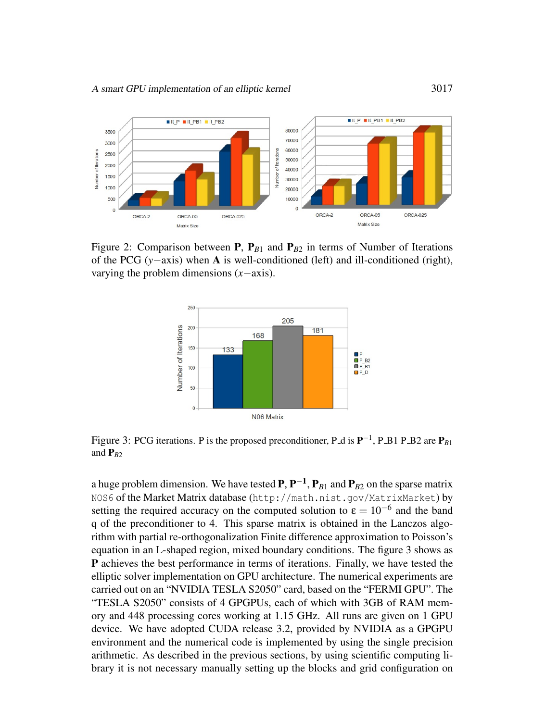

Figure 2: Comparison between **P**,  $P_{B1}$  and  $P_{B2}$  in terms of Number of Iterations of the PCG (*y*−axis) when A is well-conditioned (left) and ill-conditioned (right), varying the problem dimensions (*x*−axis).



Figure 3: PCG iterations. P is the proposed preconditioner, P<sub>-</sub>d is  $P^{-1}$ , P<sub>-</sub>B1 P<sub>-</sub>B<sub>2</sub> are  $P_{B1}$ and  $P_{B2}$ 

a huge problem dimension. We have tested  $P, P^{-1}, P_{B1}$  and  $P_{B2}$  on the sparse matrix NOS6 of the Market Matrix database (http://math.nist.gov/MatrixMarket) by setting the required accuracy on the computed solution to  $\varepsilon = 10^{-6}$  and the band q of the preconditioner to 4. This sparse matrix is obtained in the Lanczos algorithm with partial re-orthogonalization Finite difference approximation to Poisson's equation in an L-shaped region, mixed boundary conditions. The figure 3 shows as P achieves the best performance in terms of iterations. Finally, we have tested the elliptic solver implementation on GPU architecture. The numerical experiments are carried out on an "NVIDIA TESLA S2050" card, based on the "FERMI GPU". The "TESLA S2050" consists of 4 GPGPUs, each of which with 3GB of RAM memory and 448 processing cores working at 1.15 GHz. All runs are given on 1 GPU device. We have adopted CUDA release 3.2, provided by NVIDIA as a GPGPU environment and the numerical code is implemented by using the single precision arithmetic. As described in the previous sections, by using scientific computing library it is not necessary manually setting up the blocks and grid configuration on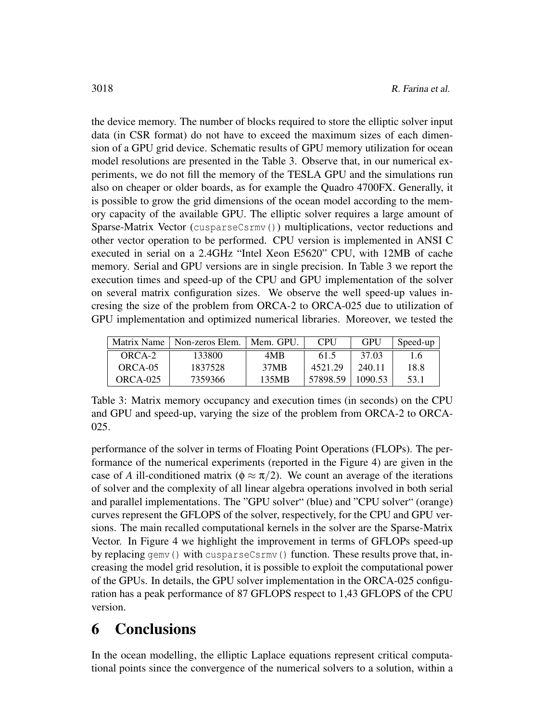the device memory. The number of blocks required to store the elliptic solver input data (in CSR format) do not have to exceed the maximum sizes of each dimension of a GPU grid device. Schematic results of GPU memory utilization for ocean model resolutions are presented in the Table 3. Observe that, in our numerical experiments, we do not fill the memory of the TESLA GPU and the simulations run also on cheaper or older boards, as for example the Quadro 4700FX. Generally, it is possible to grow the grid dimensions of the ocean model according to the memory capacity of the available GPU. The elliptic solver requires a large amount of Sparse-Matrix Vector (cusparseCsrmv()) multiplications, vector reductions and other vector operation to be performed. CPU version is implemented in ANSI C executed in serial on a 2.4GHz "Intel Xeon E5620" CPU, with 12MB of cache memory. Serial and GPU versions are in single precision. In Table 3 we report the execution times and speed-up of the CPU and GPU implementation of the solver on several matrix configuration sizes. We observe the well speed-up values incresing the size of the problem from ORCA-2 to ORCA-025 due to utilization of GPU implementation and optimized numerical libraries. Moreover, we tested the

| Matrix Name | Non-zeros Elem. | Mem. GPU. | <b>CPU</b> | GPU     | Speed-up |
|-------------|-----------------|-----------|------------|---------|----------|
| ORCA-2      | 133800          | 4MB       | 61.5       | 37.03   | 1.6      |
| ORCA-05     | 1837528         | 37MB      | 4521.29    | 240.11  | 18.8     |
| $ORCA-025$  | 7359366         | 135MB     | 57898.59   | 1090.53 | 53.1     |

Table 3: Matrix memory occupancy and execution times (in seconds) on the CPU and GPU and speed-up, varying the size of the problem from ORCA-2 to ORCA-025.

performance of the solver in terms of Floating Point Operations (FLOPs). The performance of the numerical experiments (reported in the Figure 4) are given in the case of *A* ill-conditioned matrix ( $\phi \approx \pi/2$ ). We count an average of the iterations of solver and the complexity of all linear algebra operations involved in both serial and parallel implementations. The "GPU solver" (blue) and "CPU solver" (orange) curves represent the GFLOPS of the solver, respectively, for the CPU and GPU versions. The main recalled computational kernels in the solver are the Sparse-Matrix Vector. In Figure 4 we highlight the improvement in terms of GFLOPs speed-up by replacing gemv() with cusparseCsrmv() function. These results prove that, increasing the model grid resolution, it is possible to exploit the computational power of the GPUs. In details, the GPU solver implementation in the ORCA-025 configuration has a peak performance of 87 GFLOPS respect to 1,43 GFLOPS of the CPU version.

### 6 Conclusions

In the ocean modelling, the elliptic Laplace equations represent critical computational points since the convergence of the numerical solvers to a solution, within a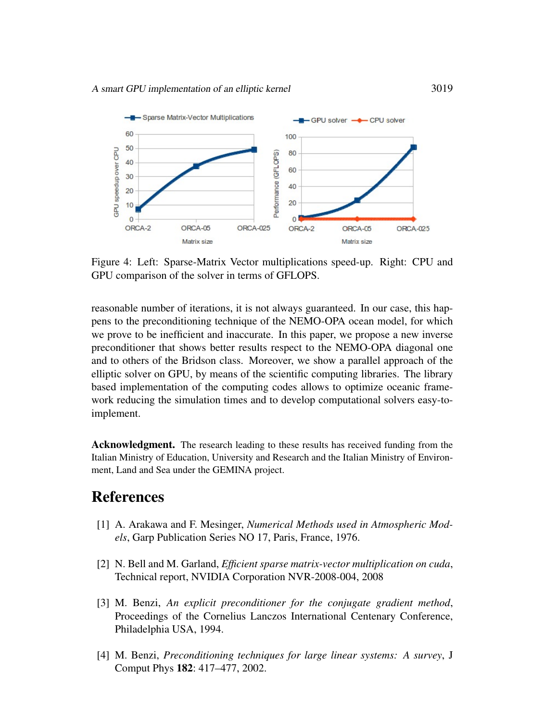

Figure 4: Left: Sparse-Matrix Vector multiplications speed-up. Right: CPU and GPU comparison of the solver in terms of GFLOPS.

reasonable number of iterations, it is not always guaranteed. In our case, this happens to the preconditioning technique of the NEMO-OPA ocean model, for which we prove to be inefficient and inaccurate. In this paper, we propose a new inverse preconditioner that shows better results respect to the NEMO-OPA diagonal one and to others of the Bridson class. Moreover, we show a parallel approach of the elliptic solver on GPU, by means of the scientific computing libraries. The library based implementation of the computing codes allows to optimize oceanic framework reducing the simulation times and to develop computational solvers easy-toimplement.

Acknowledgment. The research leading to these results has received funding from the Italian Ministry of Education, University and Research and the Italian Ministry of Environment, Land and Sea under the GEMINA project.

### **References**

- [1] A. Arakawa and F. Mesinger, *Numerical Methods used in Atmospheric Models*, Garp Publication Series NO 17, Paris, France, 1976.
- [2] N. Bell and M. Garland, *Efficient sparse matrix-vector multiplication on cuda*, Technical report, NVIDIA Corporation NVR-2008-004, 2008
- [3] M. Benzi, *An explicit preconditioner for the conjugate gradient method*, Proceedings of the Cornelius Lanczos International Centenary Conference, Philadelphia USA, 1994.
- [4] M. Benzi, *Preconditioning techniques for large linear systems: A survey*, J Comput Phys 182: 417–477, 2002.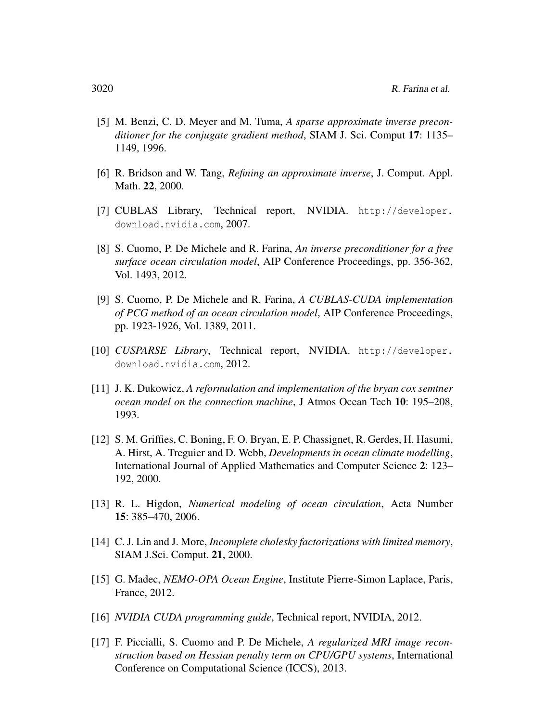- [5] M. Benzi, C. D. Meyer and M. Tuma, *A sparse approximate inverse preconditioner for the conjugate gradient method*, SIAM J. Sci. Comput 17: 1135– 1149, 1996.
- [6] R. Bridson and W. Tang, *Refining an approximate inverse*, J. Comput. Appl. Math. 22, 2000.
- [7] CUBLAS Library, Technical report, NVIDIA. http://developer. download.nvidia.com, 2007.
- [8] S. Cuomo, P. De Michele and R. Farina, *An inverse preconditioner for a free surface ocean circulation model*, AIP Conference Proceedings, pp. 356-362, Vol. 1493, 2012.
- [9] S. Cuomo, P. De Michele and R. Farina, *A CUBLAS-CUDA implementation of PCG method of an ocean circulation model*, AIP Conference Proceedings, pp. 1923-1926, Vol. 1389, 2011.
- [10] *CUSPARSE Library*, Technical report, NVIDIA. http://developer. download.nvidia.com, 2012.
- [11] J. K. Dukowicz, *A reformulation and implementation of the bryan cox semtner ocean model on the connection machine*, J Atmos Ocean Tech 10: 195–208, 1993.
- [12] S. M. Griffies, C. Boning, F. O. Bryan, E. P. Chassignet, R. Gerdes, H. Hasumi, A. Hirst, A. Treguier and D. Webb, *Developments in ocean climate modelling*, International Journal of Applied Mathematics and Computer Science 2: 123– 192, 2000.
- [13] R. L. Higdon, *Numerical modeling of ocean circulation*, Acta Number 15: 385–470, 2006.
- [14] C. J. Lin and J. More, *Incomplete cholesky factorizations with limited memory*, SIAM J.Sci. Comput. 21, 2000.
- [15] G. Madec, *NEMO-OPA Ocean Engine*, Institute Pierre-Simon Laplace, Paris, France, 2012.
- [16] *NVIDIA CUDA programming guide*, Technical report, NVIDIA, 2012.
- [17] F. Piccialli, S. Cuomo and P. De Michele, *A regularized MRI image reconstruction based on Hessian penalty term on CPU/GPU systems*, International Conference on Computational Science (ICCS), 2013.